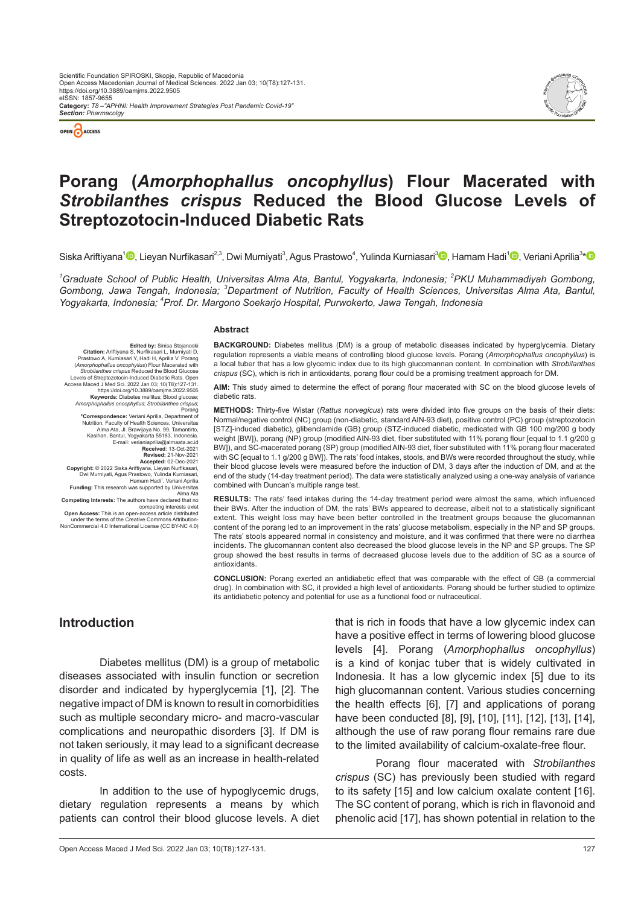

*Section: Pharmacolgy*



## **Porang (***Amorphophallus oncophyllus***) Flour Macerated with**  *Strobilanthes crispus* **Reduced the Blood Glucose Levels of Streptozotocin-Induced Diabetic Rats**

Siska Ariftiyana<sup>1</sup>D[,](https://orcid.org/0000-0002-1945-2539) Lieyan Nurfikasari<sup>2,3</sup>, Dwi Murniyati<sup>3</sup>, Agus Prastowo<sup>4</sup>, Yulinda Kurniasari<sup>3</sup>D, Hamam Hadi<sup>1</sup>D, Veriani Aprilia<sup>3</sup>[\\*](https://orcid.org/0000-0002-6231-6487)

<sup>1</sup>Graduate School of Public Health, Universitas Alma Ata, Bantul, Yogyakarta, Indonesia; <sup>2</sup>PKU Muhammadiyah Gombong, Gombong, Jawa Tengah, Indonesia; <sup>3</sup>Department of Nutrition, Faculty of Health Sciences, Universitas Alma Ata, Bantul, *Yogyakarta, Indonesia; <sup>4</sup> Prof. Dr. Margono Soekarjo Hospital, Purwokerto, Jawa Tengah, Indonesia*

#### **Abstract**

**Edited by:** Sinisa Stojanoski<br>Citation: Ariftivana S. Nurfikasari L. Murnivati D. Citation: Ariftiyana S, Nurfikasari L, Murniyati D,<br>Prastowo A, Kurniasari Y, Hadi H, Aprilia V. Porang<br>(*Amorphophallus oncophyllus*) Flour Macerated with<br>Strobilanthes crispus Reduced the Blood Glucose<br>Levels of Streptoz Access Maced J Med Sci. 2022 Jan 03; 10(T8):127-131. https://doi.org/10.3889/oamjms.2022.9505 **Keywords:** Diabetes mellitus; Blood glucose; *Amorphophallus oncophyllus*; *Strobilanthes crispus*; Porang **\*Correspondence:** Veriani Aprilia, Department of Nutrition, Faculty of Health Sciences, Universitas Alma Ata, Jl. Brawijaya No. 99, Tamantirto, Kasihan, Bantul, Yogyakarta 55183, Indonesia. E-mail: verianiaprilia@almaata.ac.id<br>**Received**: 13-Oct-2021 **Received: 13-Oct-2021<br><b>Revised: 21-Nov-2021**<br>**Accepted: 02-Dec-2021<br>Copyright: © 2022 Siska Ariftiyana, Lieyan Nurfikasari,<br>Dwi Murniyati, Agus Prastowo, Yulinda Kurniasari,** 

Hamam Hadi<sup>1</sup>, Veriani Aprilia **Funding:** This research was supported by Universitas Alma Ata

**Competing Interests:** The authors have declared that no

competing interests exist<br>Open Access: This is an open-access article distribution-<br>under the terms of the Creative Commons Attribution-<br>NonCommercial 4.0 International License (CC BY-NC 4.0)

**BACKGROUND:** Diabetes mellitus (DM) is a group of metabolic diseases indicated by hyperglycemia. Dietary regulation represents a viable means of controlling blood glucose levels. Porang (*Amorphophallus oncophyllus*) is a local tuber that has a low glycemic index due to its high glucomannan content. In combination with *Strobilanthes crispus* (SC), which is rich in antioxidants, porang flour could be a promising treatment approach for DM.

**AIM:** This study aimed to determine the effect of porang flour macerated with SC on the blood glucose levels of diabetic rats.

**METHODS:** Thirty-five Wistar (*Rattus norvegicus*) rats were divided into five groups on the basis of their diets: Normal/negative control (NC) group (non-diabetic, standard AIN-93 diet), positive control (PC) group (streptozotocin [STZ]-induced diabetic), glibenclamide (GB) group (STZ-induced diabetic, medicated with GB 100 mg/200 g body weight [BW]), porang (NP) group (modified AIN-93 diet, fiber substituted with 11% porang flour [equal to 1.1 g/200 g BW]), and SC-macerated porang (SP) group (modified AIN-93 diet, fiber substituted with 11% porang flour macerated with SC [equal to 1.1 g/200 g BW]). The rats' food intakes, stools, and BWs were recorded throughout the study, while their blood glucose levels were measured before the induction of DM, 3 days after the induction of DM, and at the end of the study (14-day treatment period). The data were statistically analyzed using a one-way analysis of variance combined with Duncan's multiple range test.

**RESULTS:** The rats' feed intakes during the 14-day treatment period were almost the same, which influenced their BWs. After the induction of DM, the rats' BWs appeared to decrease, albeit not to a statistically significant extent. This weight loss may have been better controlled in the treatment groups because the glucomannan content of the porang led to an improvement in the rats' glucose metabolism, especially in the NP and SP groups. The rats' stools appeared normal in consistency and moisture, and it was confirmed that there were no diarrhea incidents. The glucomannan content also decreased the blood glucose levels in the NP and SP groups. The SP group showed the best results in terms of decreased glucose levels due to the addition of SC as a source of antioxidants.

**CONCLUSION:** Porang exerted an antidiabetic effect that was comparable with the effect of GB (a commercial drug). In combination with SC, it provided a high level of antioxidants. Porang should be further studied to optimize its antidiabetic potency and potential for use as a functional food or nutraceutical.

## **Introduction**

Diabetes mellitus (DM) is a group of metabolic diseases associated with insulin function or secretion disorder and indicated by hyperglycemia [1], [2]. The negative impact of DM is known to result in comorbidities such as multiple secondary micro- and macro-vascular complications and neuropathic disorders [3]. If DM is not taken seriously, it may lead to a significant decrease in quality of life as well as an increase in health-related costs.

In addition to the use of hypoglycemic drugs, dietary regulation represents a means by which patients can control their blood glucose levels. A diet that is rich in foods that have a low glycemic index can have a positive effect in terms of lowering blood glucose levels [4]. Porang (*Amorphophallus oncophyllus*) is a kind of konjac tuber that is widely cultivated in Indonesia. It has a low glycemic index [5] due to its high glucomannan content. Various studies concerning the health effects [6], [7] and applications of porang have been conducted [8], [9], [10], [11], [12], [13], [14], although the use of raw porang flour remains rare due to the limited availability of calcium-oxalate-free flour.

Porang flour macerated with *Strobilanthes crispus* (SC) has previously been studied with regard to its safety [15] and low calcium oxalate content [16]. The SC content of porang, which is rich in flavonoid and phenolic acid [17], has shown potential in relation to the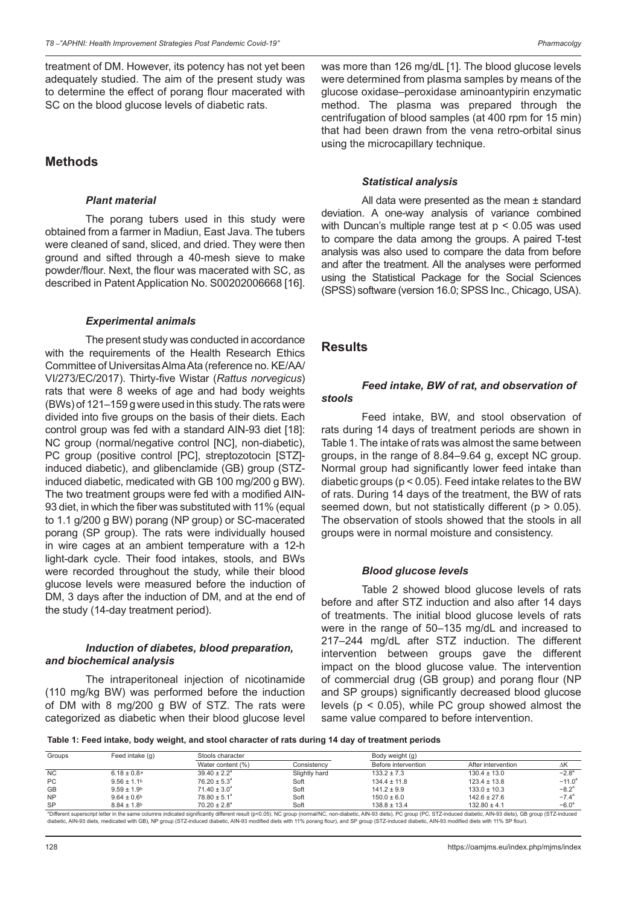treatment of DM. However, its potency has not yet been adequately studied. The aim of the present study was to determine the effect of porang flour macerated with SC on the blood glucose levels of diabetic rats.

### **Methods**

#### *Plant material*

The porang tubers used in this study were obtained from a farmer in Madiun, East Java. The tubers were cleaned of sand, sliced, and dried. They were then ground and sifted through a 40-mesh sieve to make powder/flour. Next, the flour was macerated with SC, as described in Patent Application No. S00202006668 [16].

#### *Experimental animals*

The present study was conducted in accordance with the requirements of the Health Research Ethics Committee of Universitas Alma Ata (reference no. KE/AA/ VI/273/EC/2017). Thirty-five Wistar (*Rattus norvegicus*) rats that were 8 weeks of age and had body weights (BWs) of 121–159 g were used in this study. The rats were divided into five groups on the basis of their diets. Each control group was fed with a standard AIN-93 diet [18]: NC group (normal/negative control [NC], non-diabetic), PC group (positive control [PC], streptozotocin [STZ] induced diabetic), and glibenclamide (GB) group (STZinduced diabetic, medicated with GB 100 mg/200 g BW). The two treatment groups were fed with a modified AIN-93 diet, in which the fiber was substituted with 11% (equal to 1.1 g/200 g BW) porang (NP group) or SC-macerated porang (SP group). The rats were individually housed in wire cages at an ambient temperature with a 12-h light-dark cycle. Their food intakes, stools, and BWs were recorded throughout the study, while their blood glucose levels were measured before the induction of DM, 3 days after the induction of DM, and at the end of the study (14-day treatment period).

#### *Induction of diabetes, blood preparation, and biochemical analysis*

The intraperitoneal injection of nicotinamide (110 mg/kg BW) was performed before the induction of DM with 8 mg/200 g BW of STZ. The rats were categorized as diabetic when their blood glucose level

was more than 126 mg/dL [1]. The blood glucose levels were determined from plasma samples by means of the glucose oxidase–peroxidase aminoantypirin enzymatic method. The plasma was prepared through the centrifugation of blood samples (at 400 rpm for 15 min) that had been drawn from the vena retro-orbital sinus using the microcapillary technique.

#### *Statistical analysis*

All data were presented as the mean ± standard deviation. A one-way analysis of variance combined with Duncan's multiple range test at p < 0.05 was used to compare the data among the groups. A paired T-test analysis was also used to compare the data from before and after the treatment. All the analyses were performed using the Statistical Package for the Social Sciences (SPSS) software (version 16.0; SPSS Inc., Chicago, USA).

#### **Results**

#### *Feed intake, BW of rat, and observation of stools*

Feed intake, BW, and stool observation of rats during 14 days of treatment periods are shown in Table 1. The intake of rats was almost the same between groups, in the range of 8.84–9.64 g, except NC group. Normal group had significantly lower feed intake than diabetic groups (p < 0.05). Feed intake relates to the BW of rats. During 14 days of the treatment, the BW of rats seemed down, but not statistically different (p > 0.05). The observation of stools showed that the stools in all groups were in normal moisture and consistency.

#### *Blood glucose levels*

Table 2 showed blood glucose levels of rats before and after STZ induction and also after 14 days of treatments. The initial blood glucose levels of rats were in the range of 50–135 mg/dL and increased to 217–244 mg/dL after STZ induction. The different intervention between groups gave the different impact on the blood glucose value. The intervention of commercial drug (GB group) and porang flour (NP and SP groups) significantly decreased blood glucose levels (p < 0.05), while PC group showed almost the same value compared to before intervention.

**Table 1: Feed intake, body weight, and stool character of rats during 14 day of treatment periods**

| Groups    | Feed intake $(q)$           | Stools character        |               | Body weight (g)     |                    |                |
|-----------|-----------------------------|-------------------------|---------------|---------------------|--------------------|----------------|
|           |                             | Water content (%)       | Consistencv   | Before intervention | After intervention | ΔΚ             |
| <b>NC</b> | $6.18 \pm 0.8$ <sup>a</sup> | $39.40 \pm 2.2^a$       | Slightly hard | $133.2 \pm 7.3$     | $130.4 \pm 13.0$   | $-2.8^{\circ}$ |
| PC        | $9.56 \pm 1.1$ <sup>b</sup> | $76.20 \pm 5.3^{\circ}$ | Soft          | $134.4 \pm 11.8$    | $123.4 \pm 13.8$   | $-11.0^a$      |
| GB        | $9.59 \pm 1.9$ <sup>b</sup> | $71.40 \pm 3.0^a$       | Soft          | $141.2 \pm 9.9$     | $133.0 \pm 10.3$   | $-8.2^{\circ}$ |
| <b>NP</b> | $9.64 \pm 0.6$ <sup>b</sup> | $78.80 \pm 5.1^a$       | Soft          | $150.0 \pm 6.0$     | $142.6 \pm 27.6$   | $-7.4^{\circ}$ |
| SP        | $8.84 \pm 1.8$              | $70.20 \pm 2.8^{\circ}$ | Soft          | $138.8 \pm 13.4$    | $132.80 \pm 4.1$   | $-6.0^{\circ}$ |

\*Different superscript letter in the same columns indicated significantly different result (p<0.05). NC group (normal/NC, non‑diabetic, AIN‑93 diets), PC group (PC, STZ‑induced diabetic, AIN‑93 diets), GB group (STZ‑induced diabetic, AIN-93 diets, medicated with GB), NP group (STZ-induced diabetic, AIN-93 modified diets with 11% porang flour), and SP group (STZ-induced diabetic, AIN-93 modified diets with 11% SP flour).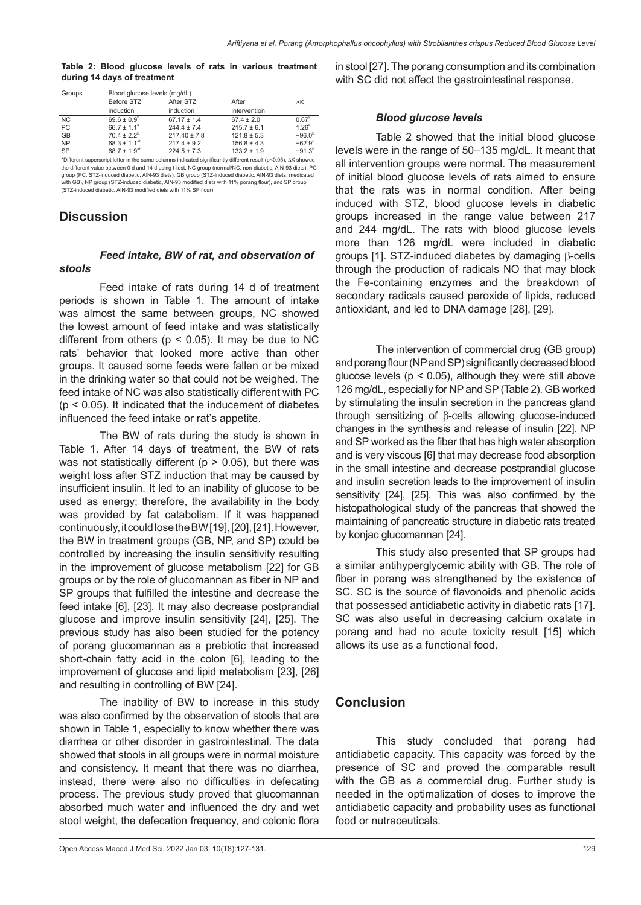#### **Table 2: Blood glucose levels of rats in various treatment during 14 days of treatment**

| Groups                                                                                                         | Blood glucose levels (mg/dL) |                  |                 |                   |  |  |  |
|----------------------------------------------------------------------------------------------------------------|------------------------------|------------------|-----------------|-------------------|--|--|--|
|                                                                                                                | Before STZ                   | After STZ        | After           | ΛK                |  |  |  |
|                                                                                                                | induction                    | induction        | intervention    |                   |  |  |  |
| NC.                                                                                                            | $69.6 \pm 0.9^b$             | $67.17 \pm 1.4$  | $67.4 \pm 2.0$  | 0.67 <sup>a</sup> |  |  |  |
| <b>PC</b>                                                                                                      | $66.7 \pm 1.1^a$             | $244.4 \pm 7.4$  | $215.7 \pm 6.1$ | 1.26 <sup>a</sup> |  |  |  |
| <b>GB</b>                                                                                                      | $70.4 \pm 2.2^b$             | $217.40 \pm 7.8$ | $121.8 \pm 5.3$ | $-96.0^{b}$       |  |  |  |
| <b>NP</b>                                                                                                      | $68.3 \pm 1.1^{ab}$          | $217.4 \pm 9.2$  | $156.8 \pm 4.3$ | $-62.9^\circ$     |  |  |  |
| <b>SP</b>                                                                                                      | 68.7 ± $1.9^{ab}$            | $224.5 \pm 7.3$  | $133.2 \pm 1.9$ | $-91.3^{b}$       |  |  |  |
| *Different superscript letter in the same columns indicated significantly different result (p<0.05). AK showed |                              |                  |                 |                   |  |  |  |

\*Different superscript letter in the same columns indicated significantly different result (p<0.05). ΔK showed<br>the different value between 0 d and 14 d using t-test. NC group (normal/NC, non-diabetic, AIN-93 diets), PC group (PC, STZ-induced diabetic, AIN-93 diets), GB group (STZ-induced diabetic, AIN-93 diets, medicate with GB), NP group (STZ‑induced diabetic, AIN‑93 modified diets with 11% porang flour), and SP group (STZ‑induced diabetic, AIN‑93 modified diets with 11% SP flour).

## **Discussion**

*stools*

# *Feed intake, BW of rat, and observation of*

Feed intake of rats during 14 d of treatment periods is shown in Table 1. The amount of intake was almost the same between groups, NC showed the lowest amount of feed intake and was statistically different from others ( $p < 0.05$ ). It may be due to NC rats' behavior that looked more active than other groups. It caused some feeds were fallen or be mixed in the drinking water so that could not be weighed. The feed intake of NC was also statistically different with PC (p < 0.05). It indicated that the inducement of diabetes influenced the feed intake or rat's appetite.

The BW of rats during the study is shown in Table 1. After 14 days of treatment, the BW of rats was not statistically different ( $p > 0.05$ ), but there was weight loss after STZ induction that may be caused by insufficient insulin. It led to an inability of glucose to be used as energy; therefore, the availability in the body was provided by fat catabolism. If it was happened continuously, it could lose the BW [19],[20], [21]. However, the BW in treatment groups (GB, NP, and SP) could be controlled by increasing the insulin sensitivity resulting in the improvement of glucose metabolism [22] for GB groups or by the role of glucomannan as fiber in NP and SP groups that fulfilled the intestine and decrease the feed intake [6], [23]. It may also decrease postprandial glucose and improve insulin sensitivity [24], [25]. The previous study has also been studied for the potency of porang glucomannan as a prebiotic that increased short-chain fatty acid in the colon [6], leading to the improvement of glucose and lipid metabolism [23], [26] and resulting in controlling of BW [24].

The inability of BW to increase in this study was also confirmed by the observation of stools that are shown in Table 1, especially to know whether there was diarrhea or other disorder in gastrointestinal. The data showed that stools in all groups were in normal moisture and consistency. It meant that there was no diarrhea, instead, there were also no difficulties in defecating process. The previous study proved that glucomannan absorbed much water and influenced the dry and wet stool weight, the defecation frequency, and colonic flora in stool [27]. The porang consumption and its combination with SC did not affect the gastrointestinal response.

#### *Blood glucose levels*

Table 2 showed that the initial blood glucose levels were in the range of 50–135 mg/dL. It meant that all intervention groups were normal. The measurement of initial blood glucose levels of rats aimed to ensure that the rats was in normal condition. After being induced with STZ, blood glucose levels in diabetic groups increased in the range value between 217 and 244 mg/dL. The rats with blood glucose levels more than 126 mg/dL were included in diabetic groups [1]. STZ-induced diabetes by damaging β-cells through the production of radicals NO that may block the Fe-containing enzymes and the breakdown of secondary radicals caused peroxide of lipids, reduced antioxidant, and led to DNA damage [28], [29].

The intervention of commercial drug (GB group) and porang flour (NP and SP) significantly decreased blood glucose levels ( $p < 0.05$ ), although they were still above 126 mg/dL, especially for NP and SP (Table 2). GB worked by stimulating the insulin secretion in the pancreas gland through sensitizing of β-cells allowing glucose-induced changes in the synthesis and release of insulin [22]. NP and SP worked as the fiber that has high water absorption and is very viscous [6] that may decrease food absorption in the small intestine and decrease postprandial glucose and insulin secretion leads to the improvement of insulin sensitivity [24], [25]. This was also confirmed by the histopathological study of the pancreas that showed the maintaining of pancreatic structure in diabetic rats treated by konjac glucomannan [24].

This study also presented that SP groups had a similar antihyperglycemic ability with GB. The role of fiber in porang was strengthened by the existence of SC. SC is the source of flavonoids and phenolic acids that possessed antidiabetic activity in diabetic rats [17]. SC was also useful in decreasing calcium oxalate in porang and had no acute toxicity result [15] which allows its use as a functional food.

## **Conclusion**

This study concluded that porang had antidiabetic capacity. This capacity was forced by the presence of SC and proved the comparable result with the GB as a commercial drug. Further study is needed in the optimalization of doses to improve the antidiabetic capacity and probability uses as functional food or nutraceuticals.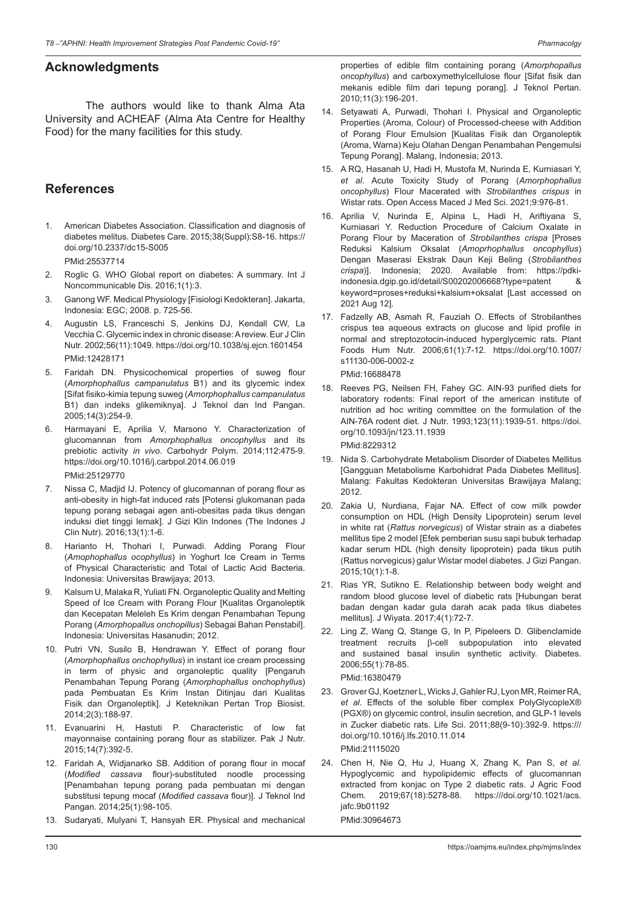## **Acknowledgments**

The authors would like to thank Alma Ata University and ACHEAF (Alma Ata Centre for Healthy Food) for the many facilities for this study.

## **References**

1. American Diabetes Association. Classification and diagnosis of diabetes melitus. Diabetes Care. 2015;38(Suppl):S8-16. https:// doi.org/10.2337/dc15-S005 PMid:25537714

- 2. Roglic G. WHO Global report on diabetes: A summary. Int J Noncommunicable Dis. 2016;1(1):3.
- 3. Ganong WF. Medical Physiology [Fisiologi Kedokteran]. Jakarta, Indonesia: EGC; 2008. p. 725-56.
- 4. Augustin LS, Franceschi S, Jenkins DJ, Kendall CW, La Vecchia C. Glycemic index in chronic disease: Areview. Eur J Clin Nutr. 2002;56(11):1049. https://doi.org/10.1038/sj.ejcn.1601454 PMid:12428171
- 5. Faridah DN. Physicochemical properties of suweg flour (*Amorphophallus campanulatus* B1) and its glycemic index [Sifat fisiko-kimia tepung suweg (*Amorphophallus campanulatus* B1) dan indeks glikemiknya]. J Teknol dan Ind Pangan. 2005;14(3):254-9.
- 6. Harmayani E, Aprilia V, Marsono Y. Characterization of glucomannan from *Amorphophallus oncophyllus* and its prebiotic activity *in vivo*. Carbohydr Polym. 2014;112:475-9. https://doi.org/10.1016/j.carbpol.2014.06.019 PMid:25129770
- 7. Nissa C, Madjid IJ. Potency of glucomannan of porang flour as anti-obesity in high-fat induced rats [Potensi glukomanan pada tepung porang sebagai agen anti-obesitas pada tikus dengan induksi diet tinggi lemak]. J Gizi Klin Indones (The Indones J Clin Nutr). 2016;13(1):1-6.
- 8. Harianto H, Thohari I, Purwadi. Adding Porang Flour (*Amophophallus ocophyllus*) in Yoghurt Ice Cream in Terms of Physical Characteristic and Total of Lactic Acid Bacteria. Indonesia: Universitas Brawijaya; 2013.
- 9. Kalsum U, Malaka R, Yuliati FN. Organoleptic Quality and Melting Speed of Ice Cream with Porang Flour [Kualitas Organoleptik dan Kecepatan Meleleh Es Krim dengan Penambahan Tepung Porang (*Amorphopallus onchopillus*) Sebagai Bahan Penstabil]. Indonesia: Universitas Hasanudin; 2012.
- 10. Putri VN, Susilo B, Hendrawan Y. Effect of porang flour (*Amorphophallus onchophyllus*) in instant ice cream processing in term of physic and organoleptic quality [Pengaruh Penambahan Tepung Porang (*Amorphophallus onchophyllus*) pada Pembuatan Es Krim Instan Ditinjau dari Kualitas Fisik dan Organoleptik]. J Keteknikan Pertan Trop Biosist. 2014;2(3):188-97.
- 11. Evanuarini H, Hastuti P. Characteristic of low fat mayonnaise containing porang flour as stabilizer. Pak J Nutr. 2015;14(7):392-5.
- 12. Faridah A, Widjanarko SB. Addition of porang flour in mocaf (*Modified cassava* flour)-substituted noodle processing [Penambahan tepung porang pada pembuatan mi dengan substitusi tepung mocaf (*Modified cassava* flour)]. J Teknol Ind Pangan. 2014;25(1):98-105.
- 13. Sudaryati, Mulyani T, Hansyah ER. Physical and mechanical

properties of edible film containing porang (*Amorphopallus oncophyllus*) and carboxymethylcellulose flour [Sifat fisik dan mekanis edible film dari tepung porang]. J Teknol Pertan. 2010;11(3):196-201.

- 14. Setyawati A, Purwadi, Thohari I. Physical and Organoleptic Properties (Aroma, Colour) of Processed-cheese with Addition of Porang Flour Emulsion [Kualitas Fisik dan Organoleptik (Aroma, Warna) Keju Olahan Dengan Penambahan Pengemulsi Tepung Porang]. Malang, Indonesia; 2013.
- 15. A RQ, Hasanah U, Hadi H, Mustofa M, Nurinda E, Kurniasari Y, *et al*. Acute Toxicity Study of Porang (*Amorphophallus oncophyllus*) Flour Macerated with *Strobilanthes crispus* in Wistar rats. Open Access Maced J Med Sci. 2021;9:976-81.
- 16. Aprilia V, Nurinda E, Alpina L, Hadi H, Ariftiyana S, Kurniasari Y. Reduction Procedure of Calcium Oxalate in Porang Flour by Maceration of *Strobilanthes crispa* [Proses Reduksi Kalsium Oksalat (*Amoprhophallus oncophyllus*) Dengan Maserasi Ekstrak Daun Keji Beling (*Strobilanthes crispa*)]. Indonesia; 2020. Available from: https://pdkiindonesia.dgip.go.id/detail/S00202006668?type=patent & keyword=proses+reduksi+kalsium+oksalat [Last accessed on 2021 Aug 12].
- 17. Fadzelly AB, Asmah R, Fauziah O. Effects of Strobilanthes crispus tea aqueous extracts on glucose and lipid profile in normal and streptozotocin-induced hyperglycemic rats. Plant Foods Hum Nutr. 2006;61(1):7-12. https://doi.org/10.1007/ s11130-006-0002-z

PMid:16688478

18. Reeves PG, Neilsen FH, Fahey GC. AIN-93 purified diets for laboratory rodents: Final report of the american institute of nutrition ad hoc writing committee on the formulation of the AIN-76A rodent diet. J Nutr. 1993;123(11):1939-51. https://doi. org/10.1093/jn/123.11.1939

PMid:8229312

- 19. Nida S. Carbohydrate Metabolism Disorder of Diabetes Mellitus [Gangguan Metabolisme Karbohidrat Pada Diabetes Mellitus]. Malang: Fakultas Kedokteran Universitas Brawijaya Malang; 2012.
- 20. Zakia U, Nurdiana, Fajar NA. Effect of cow milk powder consumption on HDL (High Density Lipoprotein) serum level in white rat (*Rattus norvegicus*) of Wistar strain as a diabetes mellitus tipe 2 model [Efek pemberian susu sapi bubuk terhadap kadar serum HDL (high density lipoprotein) pada tikus putih (Rattus norvegicus) galur Wistar model diabetes. J Gizi Pangan. 2015;10(1):1-8.
- 21. Rias YR, Sutikno E. Relationship between body weight and random blood glucose level of diabetic rats [Hubungan berat badan dengan kadar gula darah acak pada tikus diabetes mellitus]. J Wiyata. 2017;4(1):72-7.
- 22. Ling Z, Wang Q, Stange G, In P, Pipeleers D. Glibenclamide treatment recruits β-cell subpopulation into elevated and sustained basal insulin synthetic activity. Diabetes. 2006;55(1):78-85.

PMid:16380479

- 23. Grover GJ, Koetzner L, Wicks J, Gahler RJ, Lyon MR, Reimer RA, *et al*. Effects of the soluble fiber complex PolyGlycopleX® (PGX®) on glycemic control, insulin secretion, and GLP-1 levels in Zucker diabetic rats. Life Sci. 2011;88(9-10):392-9. https:/// doi.org/10.1016/j.lfs.2010.11.014 PMid:21115020
- 24. Chen H, Nie Q, Hu J, Huang X, Zhang K, Pan S, *et al*. Hypoglycemic and hypolipidemic effects of glucomannan extracted from konjac on Type 2 diabetic rats. J Agric Food Chem. 2019;67(18):5278-88. https:///doi.org/10.1021/acs. jafc.9b01192

PMid:30964673